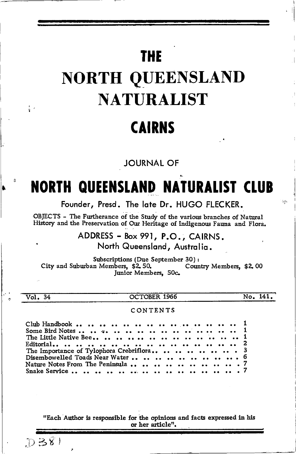# **THE**

# **NORTH QUEENSLAND NATURALIST**

# **CAIRNS**

**JOURNAL OF** 

# **NORTH QUEENSLAND NATURALIST CLUB**

Founder, Presd. The late Dr. HUGO FLECKER.

OBJECTS - The Furtherance of the Study of the various branches of Natural History and the Preservation of Our Heritage of Indigenous Fauna and Flora.

ADDRESS - Box 991, P.O., CAIRNS.

North Queensland, Australia.

Subscriptions (Due September 30): City and Suburban Members, \$2,50. Country Members, \$2,00 Junior Members, 50c.

| Vol | ı A |
|-----|-----|
|     |     |

 $\frac{1}{3}$ 

OCTOBER 1966

No. 141.

 $\Delta\mu$ 

### CONTENTS

"Each Author is responsible for the opinions and facts expressed in his or her article".

 $D=81$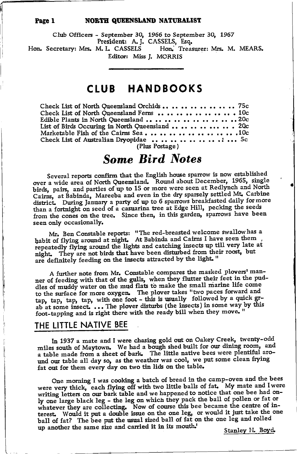#### NORTH QUEENSLAND NATURALIST

Club Officers - September 30, 1966 to September 30, 1967 President: A. J. CASSELS, Esq. Hon. Treasurer: Mrs. M. MEARS. Hon. Secretary: Mrs. M. L. CASSELS Editor: Miss J. MORRIS

## CLUB HANDBOOKS

| (D) <sub>yr</sub> e Doctoreal |  |
|-------------------------------|--|

(Plus Postage)

## **Some Bird Notes**

Several reports confirm that the English house sparrow is now established over a wide area of North Queensland. Round about December, 1965, single birds, pairs, and parties of up to 15 or more were seen at Redlynch and North Cairns, at Babinda, Mareeba and even in the dry sparsely settled Mt. Carbine district. During January a party of up to 6 sparrows breakfasted daily for more than a fortnight on seed of a casuarina tree at Edge Hill, pecking the seeds from the cones on the tree. Since then, in this garden, sparrows have been seen only occasionally.

Mr. Ben Constable reports: "The red-breasted welcome swallow has a habit of flying around at night. At Babinda and Cairns I have seen them repeatedly flying around the lights and catching insects up till very late at night. They are not birds that have been disturbed from their roost, but are definitely feeding on the insects attracted by the light."

A further note from Mr. Constable compares the masked plovers' manner of feeding with that of the gulls, when they flutter their feet in the puddles of muddy water on the mud flats to make the small marine life come to the surface for more oxygen. The plover takes "two paces forward and tap, tap, tap, tap, with one foot - this is usually followed by a quick grab at some insect.... The plover disturbs (the insects) in some way by this foot-tapping and is right there with the ready bill when they move.

## THE LITTLE NATIVE BEE

In 1937 a mate and I were chasing gold out on Oakey Creek, twenty-odd miles south of Maytown. We had a bough shed built for our dining room, and a table made from a sheet of bark. The little native bees were plentiful around our table all day so, as the weather was cool, we put some clean frying fat out for them every day on two tin lids on the table.

One morning I was cooking a batch of bread in the camp-oven and the bees were very thick, each flying off with two little balls of fat. My mate and I were writing letters on our bark table and we happened to notice that one bee had only one large black leg - the leg on which they pack the ball of pollen or fat or whatever they are collecting. Now of course this bee became the centre of interest. Would it put a double issue on the one leg, or would it just take the one ball of fat? The bee put the usual sized ball of fat on the one leg and rolled up another the same size and carried it in its mouth.

Stanley H. Boyd.

Page 1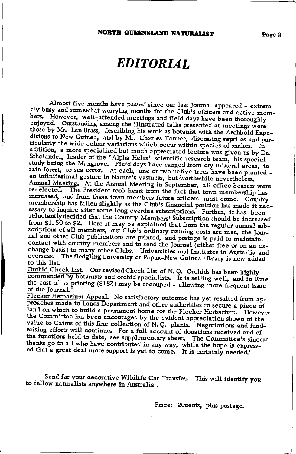# **EDITORIAL**

Almost five months have passed since our last Journal appeared - extremely busy and somewhat worrying months for the Club's officers and active mem-However, well-attended meetings and field days have been thoroughly bers. enjoyed. Outstanding among the illustrated talks presented at meetings were those by Mr. Len Brass, describing his work as botanist with the Archbold Expeditions to New Guinea, and by Mr. Charles Tanner, discussing reptiles and particularly the wide colour variations which occur within species of snakes. In addition, a more specialized but much appreciated lecture was given us by Dr. Scholander, leader of the "Alpha Helix" scientific research team, his special study being the Mangrove. Field days have ranged from dry mineral areas, to rain forest, to sea coast. At each, one or two native trees have been planted an infinitesimal gesture in Nature's vastness, but worthwhile nevertheless.<br>Annual Meeting. At the Annual Meeting in September, all office bearers were re-elected. The President took heart from the fact that town membership has increased, and from these town members future officers must come. Country membership has fallen slightly as the Club's financial position has made it necessary to inquire after some long overdue subscriptions. Further, it has been reluctantly decided that the Country Members' Subscription should be increased from \$1.50 to \$2. Here it may be explained that from the regular annual subscriptions of all members, our Club's ordinary running costs are met, the Journal and other Club publications are printed, and postage is paid to maintain, contact with country members and to send the Journal (either free or on an exchange basis) to many other Clubs. Universities and Institutes in Australia and overseas. The fledgling University of Papua-New Guinea library is now added to this list.

Orchid Check List. Our revised Check List of N. Q. Orchids has been highly commended by botanists and orchid specialists. It is selling well, and in time the cost of its printing (\$182) may be recouped - allowing more frequent issue of the Journal.'

Flecker Herbarium Appeal. No satisfactory outcome has yet resulted from approaches made to Lands Department and other authorities to secure a piece of land on which to build a permanent home for the Flecker Herbarium. However the Committee has been encouraged by the evident appreciation shown of the value to Cairns of this fine collection of N.Q. plants. Negotiations and fundraising efforts will continue. For a full account of donations received and of the functions held to date, see supplementary sheet. The Committee's sincere thanks go to all who have contributed in any way, while the hope is expressed that a great deal more support is yet to come. It is certainly needed.'

Send for your decorative Wildlife Car Transfer. This will identify you to fellow naturalists anywhere in Australia.

Price: 20cents, plus postage.

Page 2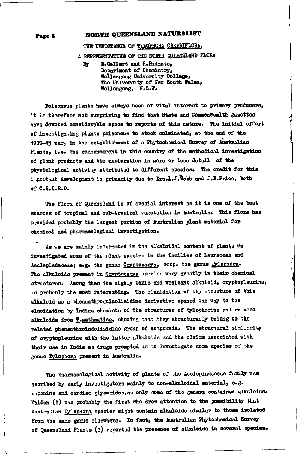## NORTH QUEENSLAND NATURALIST

#### THE IMPORTANCE OF TYLOPHORA CREBRIFLORA,

A REPRESENTATIVE OF THE NORTH QUEENSLAND FLORA

E.Gellert and R.Rudzats, By Department of Chemistry, Wollongong University College, The University of New South Wales, Wollongong, N.S.W.

Poisonous plants have always been of vital interest to primary producers, it is therefore not surprising to find that State and Commonwealth gazettes have devoted considerable space to reports of this nature. The initial effort of investigating plants poisonous to stock culminated, at the end of the 1939-45 war, in the establishment of a Phytochemical Survey of Australian Plants. i.e. the commencement in this country of the methodical investigation of plant products and the exploration in more or less detail of the physiological activity attributed to different species. The credit for this important development is primarily due to Drs.L.J. Webb and J.R.Price, both of C.S.I.R.O.

The flora of Queensland is of special interest as it is one of the best sources of tropical and sub-tropical vegetation in Australia. This flora has provided probably the largest portion of Australian plant material for chemical and pharmacological investigation.

As we are mainly interested in the alkaloidal content of plants we investigated some of the plant species in the families of Lauraceae and Asclepiadaceae; e.g. the genus Cryptocarya, resp. the genus Tylophora. The alkaloids present in Cryptocarya species vary greatly in their chemical structures. Among them the highly toxic and vesicant alkaloid, cryptopleurine, is probably the most interesting. The elucidation of the structure of this alkaloid as a phenanthroquinolizidine derivative opened the way to the elucidation by Indian chemists of the structures of tylophorine and related alkaloids from Teasthmatica, showing that they structurally belong to the related phenanthroindolizidine group of compounds. The structural similarity of oryptopleurine with the latter alkaloids and the claims associated with their use in India as drugs prompted us to investigate some species of the genus Tylophora present in Australia.

The pharmacological activity of plants of the Asolepiadaceae family was ascribed by early investigators mainly to non-alkaloidal material. e.g. saponins and cardiac glycosides, as only some of the genera contained alkaloids. Maiden (1) was probably the first who drew attention to the possibility that Australian Tylophora species might contain alkaloids similar to those isolated from the same genus elsewhere. In fact, the Australian Phytochemical Survey of Queensland Plants (2) reported the presence of alkaloids in several species.

Page 3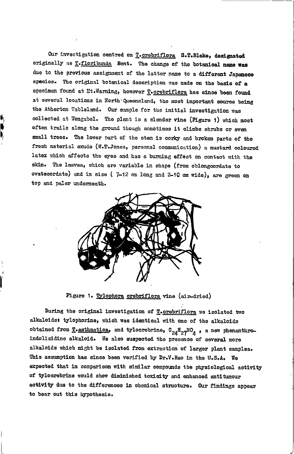Our investigation centred on T-crebriflora S.T.Blake, designated originally as T.floribunda Bent. The change of the botanical name was due to the previous assignment of the latter name to a different Japanese species. The original botanical description was made on the basis of a specimen found at Mt.Warning, however T. crebriflora has since been found at several locations in North Queensland, the most important source being the Atherton Tableland. Our sample for the initial investigation was collected at Wongabel. The plant is a slender vine (Figure 1) which most often trails along the ground though sometimes it climbs shrubs or even small trees. The lower part of the stem is corky and broken parts of the fresh material exude (W.T.Jones, personal communication) a mustard coloured latex which affects the eyes and has a burning effect on contact with the skin. The leaves, which are variable in shape (from oblongcordate to ovatecordate) and in size (7-12 cm long and 2-10 cm wide), are green on top and paler underneath.



Figure 1. Tylophora crebriflora vine (air-dried)

During the original investigation of *T.crebriflora* we isolated two alkaloids: tylophorine, which was identical with one of the alkaloids obtained from T-asthmatica, and tylocrebrine,  $c_{24}H_{27}MO_{4}$ , a new phenanthroindolizidine alkaloid. We also suspected the presence of several more alkaloids which might be isolated from extraction of larger plant samples. This assumption has since been verified by Dr.V.Rao in the U.S.A. We expected that in comparison with similar compounds the physiological activity of tylocrebrine would show diminished toxicity and enhanced antitumour activity due to the differences in chemical structure. Our findings appear to bear out this hypothesis.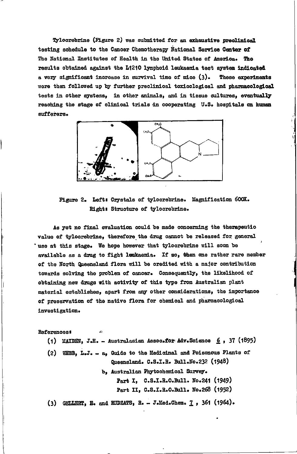Tyloorebrine (Figure 2) was submitted for an exhaustive preclinical testing schedule to the Cancer Chemotherapy National Service Center of The National Institutes of Health in the United States of America. The results obtained against the L1210 lymphoid leukaemia test system indicated a very significant increase in survival time of mice (3). These experiments were then followed up by further preclinical toxicological and pharmacological tests in other systems, in other animals, and in tissue cultures, eventually reaching the stage of clinical trials in cooperating U.S. hospitals on human sufferers.



Figure 2. Left: Crystals of tylocrebrine. Magnification 600X. Right: Structure of tylocrebrine.

As yet no final evaluation could be made concerning the therapeutic value of tylocrebrine, therefore the drug cannot be released for general 'use at this stage. We hope however that tyloorebrine will soon be available as a drug to fight leukaemia. If so, then one rather rare member of the North Queensland flora will be credited with a major contribution towards solving the problem of cancer. Consequently, the likelihood of obtaining new drugs with activity of this type from Australian plant material establishes, apart from any other considerations, the importance of preservation of the native flora for chemical and pharmacological investigation.

References

- (1) MAIDEN, J.H. Australasian Assoc.for Adv. Science  $6$ , 37 (1895)
- (2) WEBB, L.J. a, Guide to the Medicinal and Poisonous Plants of Queensland. C.S.I.R. Bull.No.232 (1948)

b. Australian Phytochemical Survey. Part I. C.S.I.R.O.Bull. No.241 (1949) Part II, C.S.I.R.O.Bull. No.268 (1952)

(3) GELLERT, E. and RUDZATS, R. - J.Med.Chem.  $1$ , 361 (1964).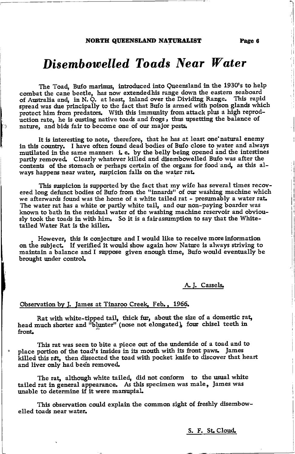### NORTH QUEENSLAND NATURALIST

# Disembowelled Toads Near Water

The Toad, Bufo marinus, introduced into Queensland in the 1930's to help combat the cane beetle, has now extendedhis range down the eastern seaboard of Australia and, in N. Q. at least, inland over the Dividing Range. This rapid spread was due principally to the fact that Bufo is armed with poison glands which protect him from predators. With this immunity from attack plus a high reproduction rate, he is ousting native toads and frogs, thus upsetting the balance of nature, and bids fair to become one of our major pests.

It is interesting to note, therefore, that he has at least one'natural enemy in this country. I have often found dead bodies of Bufo close to water and always mutilated in the same manner:  $i.e.$  by the belly being opened and the intestines partly removed. Clearly whatever killed and disembowelled Bufo was after the contents of the stomach or perhaps certain of the organs for food and, as this always happens near water, suspicion falls on the water rat.

This suspicion is supported by the fact that my wife has several times recovered long defunct bodies of Bufo from the "innards" of our washing machine which we afterwards found was the home of a white tailed rat - presumably a water rat. The water rat has a white or partly white tail, and our non-paying boarder was known to bath in the residual water of the washing machine reservoir and obviously took the toads in with him. So it is a falrassumption to say that tbe Whitetailed Water Rat is the killer.

However, this is conjecture and I would like to receive more information<br>on the subject. If verified it would show again how Nature is always striving to maintain a balance and I suppose given enough time, Bufo would eventually be brought under control

### A. J. Cassels.

### Observation by J. James at Tinaroo Creek, Feb., 1966.

Rat with white-tipped tail, thick fur, about the size of a domestic rat, Rat with white-tipped tail, thick fur, about the size of a domestic rand<br>head much shorter and "blunter" (nose not elongated), four chisel teeth in front.

This rat was seen to bite a piece out of the underside of a toad and to place portion of the toad's insides in its mouth with its front paws. James killed this rat, then dissected the toad with pocket knife to discover that heart and liver only had been removed.

The rat, although white tailed, did not conform to the usual white tailed rat in general appearance. As this specimen was male, James was unable to determine if it were marsupial.

This observation could explain the common sight of freshly disemboweLled toads near water.

S. F. St Cloud.

Page 6

i<br>I

rl

Ħ